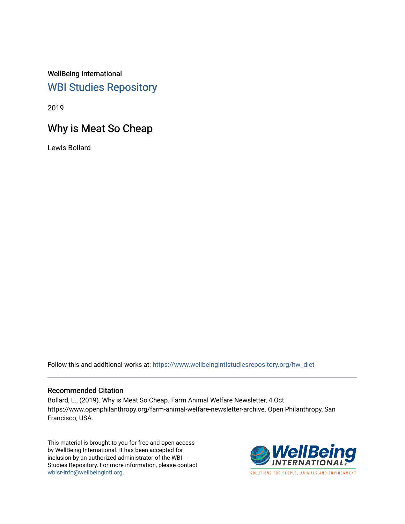WellBeing International [WBI Studies Repository](https://www.wellbeingintlstudiesrepository.org/)

2019

# Why is Meat So Cheap

Lewis Bollard

Follow this and additional works at: [https://www.wellbeingintlstudiesrepository.org/hw\\_diet](https://www.wellbeingintlstudiesrepository.org/hw_diet?utm_source=www.wellbeingintlstudiesrepository.org%2Fhw_diet%2F8&utm_medium=PDF&utm_campaign=PDFCoverPages) 

### Recommended Citation

Bollard, L., (2019). Why is Meat So Cheap. Farm Animal Welfare Newsletter, 4 Oct. https://www.openphilanthropy.org/farm-animal-welfare-newsletter-archive. Open Philanthropy, San Francisco, USA.

This material is brought to you for free and open access by WellBeing International. It has been accepted for inclusion by an authorized administrator of the WBI Studies Repository. For more information, please contact [wbisr-info@wellbeingintl.org](mailto:wbisr-info@wellbeingintl.org).

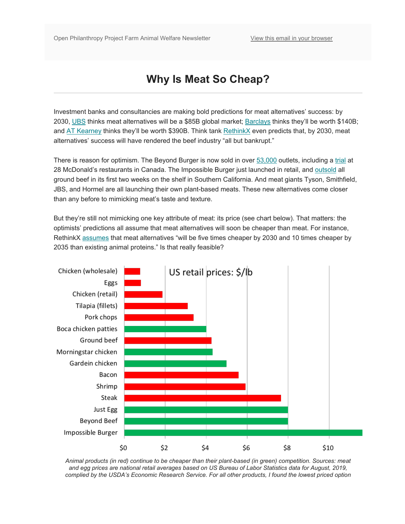# **Why Is Meat So Cheap?**

Investment banks and consultancies are making bold predictions for meat alternatives' success: by 2030, [UBS](https://www.ubs.com/global/en/wealth-management/marketnews/home/article.1442540.html) thinks meat alternatives will be a \$85B global market; [Barclays](https://www.investmentbank.barclays.com/our-insights/carving-up-the-alternative-meat-market.html) thinks they'll be worth \$140B; and [AT Kearney](https://www.atkearney.com/retail/article/?/a/how-will-cultured-meat-and-meat-alternatives-disrupt-the-agricultural-and-food-industry) thinks they'll be worth \$390B. Think tank [RethinkX](https://www.rethinkx.com/food-and-agriculture-executive-summary) even predicts that, by 2030, meat alternatives' success will have rendered the beef industry "all but bankrupt."

There is reason for optimism. The Beyond Burger is now sold in over [53,000](https://www.reuters.com/article/us-beyond-meat-results/beyond-meat-shares-crumble-on-stock-offering-surprise-demand-for-meatless-burgers-soars-idUSKCN1UO25X) outlets, including a [trial](https://news.mcdonalds.com/news-releases/news-release-details/mcdonalds-tests-new-plant-based-burger-canada-plt) at 28 McDonald's restaurants in Canada. The Impossible Burger just launched in retail, and [outsold](https://www.businesswire.com/news/home/20191001005462/en/Impossible-Burger-No.-1-Item-Sold-Grocery) all ground beef in its first two weeks on the shelf in Southern California. And meat giants Tyson, Smithfield, JBS, and Hormel are all launching their own plant-based meats. These new alternatives come closer than any before to mimicking meat's taste and texture.

But they're still not mimicking one key attribute of meat: its price (see chart below). That matters: the optimists' predictions all assume that meat alternatives will soon be cheaper than meat. For instance, RethinkX [assumes](https://www.rethinkx.com/food-and-agriculture-executive-summary) that meat alternatives "will be five times cheaper by 2030 and 10 times cheaper by 2035 than existing animal proteins." Is that really feasible?



*Animal products (in red) continue to be cheaper than their plant-based (in green) competition. Sources: meat and egg prices are national retail averages based on US Bureau of Labor Statistics data for August, 2019, complied by the USDA's Economic Research Service. For all other products, I found the lowest priced option*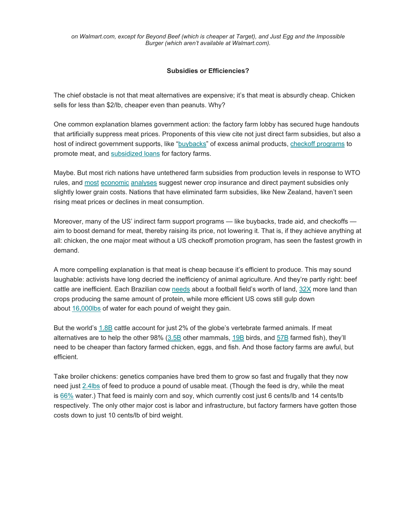*on Walmart.com, except for Beyond Beef (which is cheaper at Target), and Just Egg and the Impossible Burger (which aren't available at Walmart.com).*

### **Subsidies or Efficiencies?**

The chief obstacle is not that meat alternatives are expensive; it's that meat is absurdly cheap. Chicken sells for less than \$2/lb, cheaper even than peanuts. Why?

One common explanation blames government action: the factory farm lobby has secured huge handouts that artificially suppress meat prices. Proponents of this view cite not just direct farm subsidies, but also a host of indirect government supports, like ["buybacks"](https://www.thegreenfieldproject.org/work/) of excess animal products, [checkoff programs](https://www.thegreenfieldproject.org/work/) to promote meat, and [subsidized loans](https://www.thegreenfieldproject.org/work/) for factory farms.

Maybe. But most rich nations have untethered farm subsidies from production levels in response to WTO rules, and [most](http://www.oecd.org/officialdocuments/publicdisplaydocumentpdf/?cote=TAD/CA/APM/WP(2017)1/FINAL&docLanguage=En) [economic](https://academic.oup.com/aepp/article/39/1/1/2806924) [analyses](https://www.downsizinggovernment.org/agriculture/subsidies) suggest newer crop insurance and direct payment subsidies only slightly lower grain costs. Nations that have eliminated farm subsidies, like New Zealand, haven't seen rising meat prices or declines in meat consumption.

Moreover, many of the US' indirect farm support programs — like buybacks, trade aid, and checkoffs aim to boost demand for meat, thereby raising its price, not lowering it. That is, if they achieve anything at all: chicken, the one major meat without a US checkoff promotion program, has seen the fastest growth in demand.

A more compelling explanation is that meat is cheap because it's efficient to produce. This may sound laughable: activists have long decried the inefficiency of animal agriculture. And they're partly right: beef cattle are inefficient. Each Brazilian cow [needs](https://globalforestatlas.yale.edu/amazon/land-use/cattle-ranching) about a football field's worth of land, [32X](https://www.elementascience.org/articles/10.1525/elementa.187/) more land than crops producing the same amount of protein, while more efficient US cows still gulp down about [16,000lbs](http://www.beefresearch.ca/blog/cattle-feed-water-use/) of water for each pound of weight they gain.

But the world's [1.8B](https://docs.google.com/spreadsheets/d/1uF3x_DuG13V6NpkP4DQyFutZI6Pwppy5R6qGArPZ1h0/edit?usp=sharing) cattle account for just 2% of the globe's vertebrate farmed animals. If meat alternatives are to help the other 98% [\(3.5B](https://docs.google.com/spreadsheets/d/1uF3x_DuG13V6NpkP4DQyFutZI6Pwppy5R6qGArPZ1h0/edit?usp=sharing) other mammals, [19B](https://docs.google.com/spreadsheets/d/1uF3x_DuG13V6NpkP4DQyFutZI6Pwppy5R6qGArPZ1h0/edit?usp=sharing) birds, and [57B](https://docs.google.com/spreadsheets/d/1uF3x_DuG13V6NpkP4DQyFutZI6Pwppy5R6qGArPZ1h0/edit?usp=sharing) farmed fish), they'll need to be cheaper than factory farmed chicken, eggs, and fish. And those factory farms are awful, but efficient.

Take broiler chickens: genetics companies have bred them to grow so fast and frugally that they now need just [2.4lbs](https://academic.oup.com/japr/article/26/1/23/2629200) of feed to produce a pound of usable meat. (Though the feed is dry, while the meat is [66%](https://www.fsis.usda.gov/wps/wcm/connect/42a903e2-451d-40ea-897a-22dc74ef6e1c/Water_in_Meats.pdf?MOD=AJPERES) water.) That feed is mainly corn and soy, which currently cost just 6 cents/lb and 14 cents/lb respectively. The only other major cost is labor and infrastructure, but factory farmers have gotten those costs down to just 10 cents/lb of bird weight.